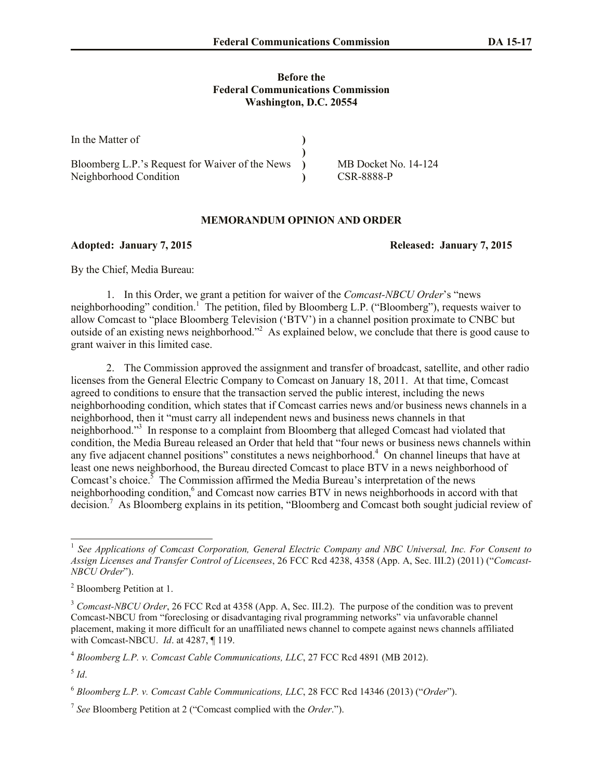## **Before the Federal Communications Commission Washington, D.C. 20554**

| In the Matter of                                |                      |
|-------------------------------------------------|----------------------|
|                                                 |                      |
| Bloomberg L.P.'s Request for Waiver of the News | MB Docket No. 14-124 |
| Neighborhood Condition                          | CSR-8888-P           |

## **MEMORANDUM OPINION AND ORDER**

**Adopted: January 7, 2015 Released: January 7, 2015**

By the Chief, Media Bureau:

1. In this Order, we grant a petition for waiver of the *Comcast-NBCU Order*'s "news neighborhooding" condition.<sup>1</sup> The petition, filed by Bloomberg L.P. ("Bloomberg"), requests waiver to allow Comcast to "place Bloomberg Television ('BTV') in a channel position proximate to CNBC but outside of an existing news neighborhood."<sup>2</sup> As explained below, we conclude that there is good cause to grant waiver in this limited case.

2. The Commission approved the assignment and transfer of broadcast, satellite, and other radio licenses from the General Electric Company to Comcast on January 18, 2011. At that time, Comcast agreed to conditions to ensure that the transaction served the public interest, including the news neighborhooding condition, which states that if Comcast carries news and/or business news channels in a neighborhood, then it "must carry all independent news and business news channels in that neighborhood."<sup>3</sup> In response to a complaint from Bloomberg that alleged Comcast had violated that condition, the Media Bureau released an Order that held that "four news or business news channels within any five adjacent channel positions" constitutes a news neighborhood. 4 On channel lineups that have at least one news neighborhood, the Bureau directed Comcast to place BTV in a news neighborhood of Comcast's choice.<sup>5</sup> The Commission affirmed the Media Bureau's interpretation of the news neighborhooding condition, 6 and Comcast now carries BTV in news neighborhoods in accord with that decision. 7 As Bloomberg explains in its petition, "Bloomberg and Comcast both sought judicial review of

 1 *See Applications of Comcast Corporation, General Electric Company and NBC Universal, Inc. For Consent to Assign Licenses and Transfer Control of Licensees*, 26 FCC Rcd 4238, 4358 (App. A, Sec. III.2) (2011) ("*Comcast-NBCU Order*").

<sup>2</sup> Bloomberg Petition at 1.

<sup>&</sup>lt;sup>3</sup> *Comcast-NBCU Order*, 26 FCC Rcd at 4358 (App. A, Sec. III.2). The purpose of the condition was to prevent Comcast-NBCU from "foreclosing or disadvantaging rival programming networks" via unfavorable channel placement, making it more difficult for an unaffiliated news channel to compete against news channels affiliated with Comcast-NBCU. *Id*. at 4287, ¶ 119.

<sup>4</sup> *Bloomberg L.P. v. Comcast Cable Communications, LLC*, 27 FCC Rcd 4891 (MB 2012).

<sup>5</sup> *Id*.

<sup>6</sup> *Bloomberg L.P. v. Comcast Cable Communications, LLC*, 28 FCC Rcd 14346 (2013) ("*Order*").

<sup>7</sup> *See* Bloomberg Petition at 2 ("Comcast complied with the *Order*.").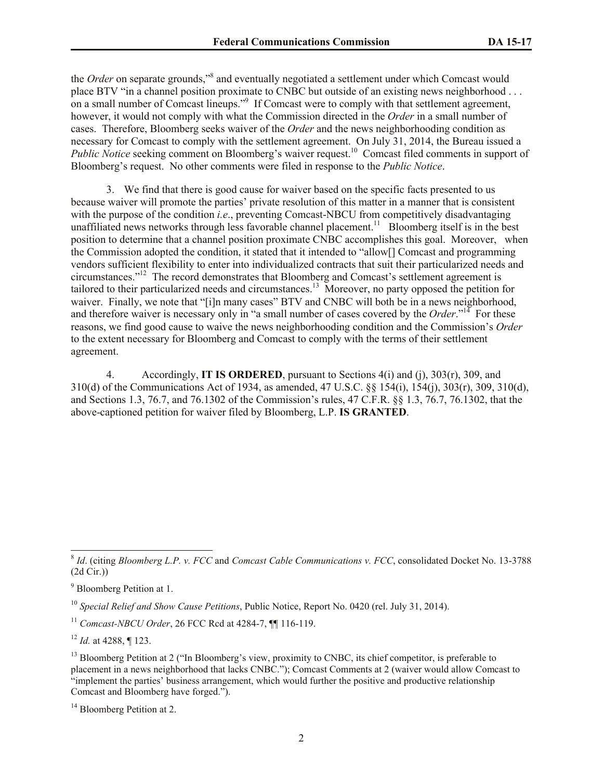the *Order* on separate grounds,"<sup>8</sup> and eventually negotiated a settlement under which Comcast would place BTV "in a channel position proximate to CNBC but outside of an existing news neighborhood . . . on a small number of Comcast lineups."<sup>9</sup> If Comcast were to comply with that settlement agreement, however, it would not comply with what the Commission directed in the *Order* in a small number of cases. Therefore, Bloomberg seeks waiver of the *Order* and the news neighborhooding condition as necessary for Comcast to comply with the settlement agreement. On July 31, 2014, the Bureau issued a Public Notice seeking comment on Bloomberg's waiver request.<sup>10</sup> Comcast filed comments in support of Bloomberg's request. No other comments were filed in response to the *Public Notice*.

3. We find that there is good cause for waiver based on the specific facts presented to us because waiver will promote the parties' private resolution of this matter in a manner that is consistent with the purpose of the condition *i.e.*, preventing Comcast-NBCU from competitively disadvantaging unaffiliated news networks through less favorable channel placement.<sup>11</sup> Bloomberg itself is in the best position to determine that a channel position proximate CNBC accomplishes this goal. Moreover, when the Commission adopted the condition, it stated that it intended to "allow[] Comcast and programming vendors sufficient flexibility to enter into individualized contracts that suit their particularized needs and circumstances." 12 The record demonstrates that Bloomberg and Comcast's settlement agreement is tailored to their particularized needs and circumstances.<sup>13</sup> Moreover, no party opposed the petition for waiver. Finally, we note that "[i]n many cases" BTV and CNBC will both be in a news neighborhood, and therefore waiver is necessary only in "a small number of cases covered by the *Order*."<sup>14</sup> For these reasons, we find good cause to waive the news neighborhooding condition and the Commission's *Order* to the extent necessary for Bloomberg and Comcast to comply with the terms of their settlement agreement.

4. Accordingly, **IT IS ORDERED**, pursuant to Sections 4(i) and (j), 303(r), 309, and 310(d) of the Communications Act of 1934, as amended, 47 U.S.C. §§ 154(i), 154(j), 303(r), 309, 310(d), and Sections 1.3, 76.7, and 76.1302 of the Commission's rules, 47 C.F.R. §§ 1.3, 76.7, 76.1302, that the above-captioned petition for waiver filed by Bloomberg, L.P. **IS GRANTED**.

<sup>12</sup> *Id.* at 4288, ¶ 123.

l

<sup>8</sup> *Id*. (citing *Bloomberg L.P. v. FCC* and *Comcast Cable Communications v. FCC*, consolidated Docket No. 13-3788 (2d Cir.))

<sup>9</sup> Bloomberg Petition at 1.

<sup>10</sup> *Special Relief and Show Cause Petitions*, Public Notice, Report No. 0420 (rel. July 31, 2014).

<sup>11</sup> *Comcast-NBCU Order*, 26 FCC Rcd at 4284-7, ¶¶ 116-119.

<sup>&</sup>lt;sup>13</sup> Bloomberg Petition at 2 ("In Bloomberg's view, proximity to CNBC, its chief competitor, is preferable to placement in a news neighborhood that lacks CNBC."); Comcast Comments at 2 (waiver would allow Comcast to "implement the parties' business arrangement, which would further the positive and productive relationship Comcast and Bloomberg have forged.").

<sup>&</sup>lt;sup>14</sup> Bloomberg Petition at 2.